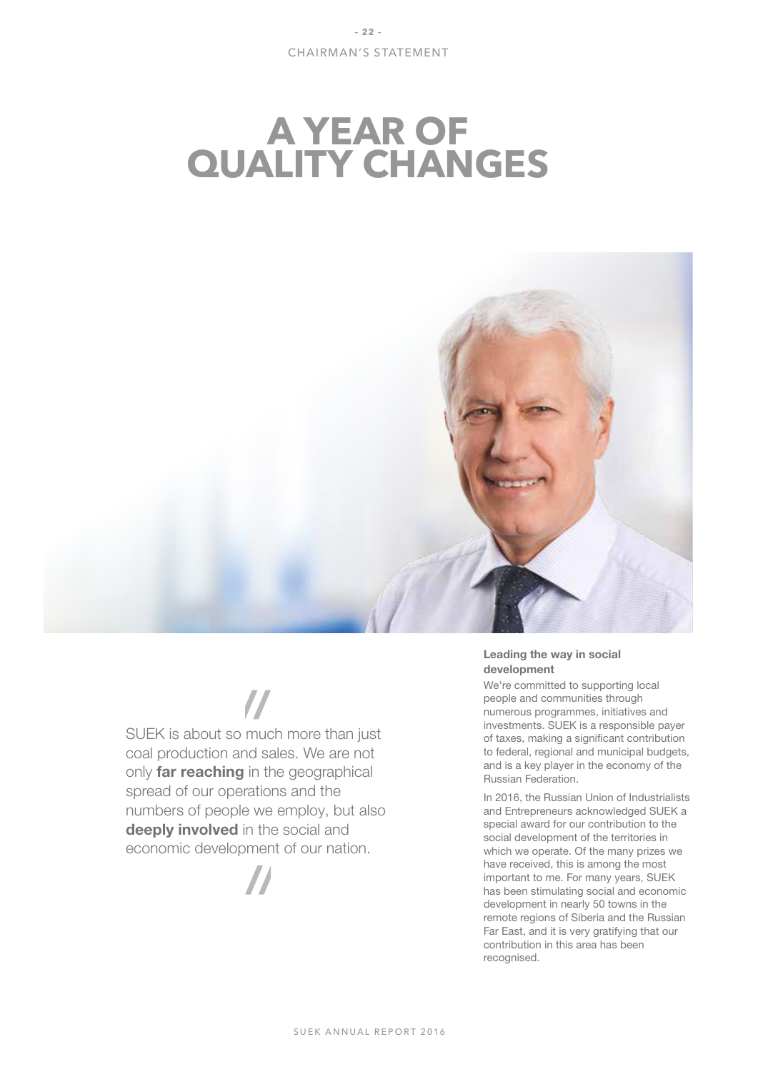# **A YEAR OF QUALITY CHANGES**



SUEK is about so much more than just coal production and sales. We are not only **far reaching** in the geographical spread of our operations and the numbers of people we employ, but also deeply involved in the social and economic development of our nation.



# Leading the way in social development

We're committed to supporting local people and communities through numerous programmes, initiatives and investments. SUEK is a responsible payer of taxes, making a significant contribution to federal, regional and municipal budgets, and is a key player in the economy of the Russian Federation.

In 2016, the Russian Union of Industrialists and Entrepreneurs acknowledged SUEK a special award for our contribution to the social development of the territories in which we operate. Of the many prizes we have received, this is among the most important to me. For many years, SUEK has been stimulating social and economic development in nearly 50 towns in the remote regions of Siberia and the Russian Far East, and it is very gratifying that our contribution in this area has been recognised.